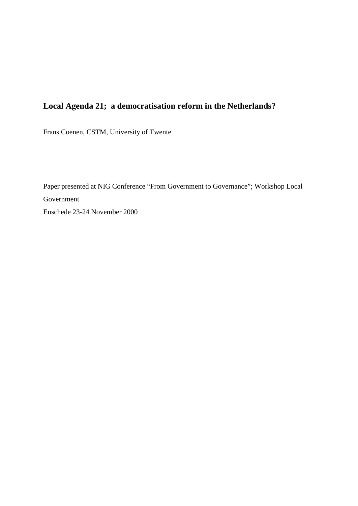# **Local Agenda 21; a democratisation reform in the Netherlands?**

Frans Coenen, CSTM, University of Twente

Paper presented at NIG Conference "From Government to Governance"; Workshop Local Government Enschede 23-24 November 2000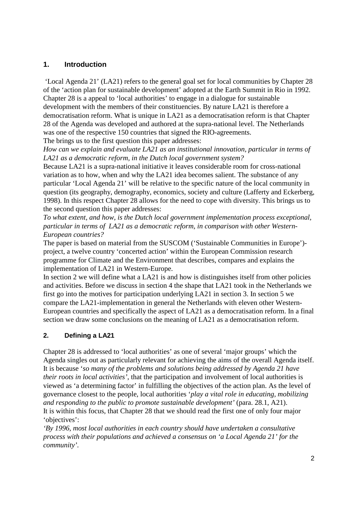# **1. Introduction**

'Local Agenda 21' (LA21) refers to the general goal set for local communities by Chapter 28 of the 'action plan for sustainable development' adopted at the Earth Summit in Rio in 1992. Chapter 28 is a appeal to 'local authorities' to engage in a dialogue for sustainable development with the members of their constituencies. By nature LA21 is therefore a democratisation reform. What is unique in LA21 as a democratisation reform is that Chapter 28 of the Agenda was developed and authored at the supra-national level. The Netherlands was one of the respective 150 countries that signed the RIO-agreements.

The brings us to the first question this paper addresses:

*How can we explain and evaluate LA21 as an institutional innovation, particular in terms of LA21 as a democratic reform, in the Dutch local government system?*

Because LA21 is a supra-national initiative it leaves considerable room for cross-national variation as to how, when and why the LA21 idea becomes salient. The substance of any particular 'Local Agenda 21' will be relative to the specific nature of the local community in question (its geography, demography, economics, society and culture (Lafferty and Eckerberg, 1998). In this respect Chapter 28 allows for the need to cope with diversity. This brings us to the second question this paper addresses:

*To what extent, and how, is the Dutch local government implementation process exceptional, particular in terms of LA21 as a democratic reform, in comparison with other Western-European countries?*

The paper is based on material from the SUSCOM ('Sustainable Communities in Europe') project, a twelve country 'concerted action' within the European Commission research programme for Climate and the Environment that describes, compares and explains the implementation of LA21 in Western-Europe.

In section 2 we will define what a LA21 is and how is distinguishes itself from other policies and activities. Before we discuss in section 4 the shape that LA21 took in the Netherlands we first go into the motives for participation underlying LA21 in section 3. In section 5 we compare the LA21-implementation in general the Netherlands with eleven other Western-European countries and specifically the aspect of LA21 as a democratisation reform. In a final section we draw some conclusions on the meaning of LA21 as a democratisation reform.

# **2. Defining a LA21**

Chapter 28 is addressed to 'local authorities' as one of several 'major groups' which the Agenda singles out as particularly relevant for achieving the aims of the overall Agenda itself. It is because '*so many of the problems and solutions being addressed by Agenda 21 have their roots in local activities'*, that the participation and involvement of local authorities is viewed as 'a determining factor' in fulfilling the objectives of the action plan. As the level of governance closest to the people, local authorities '*play a vital role in educating, mobilizing and responding to the public to promote sustainable development'* (para. 28.1, A21). It is within this focus, that Chapter 28 that we should read the first one of only four major 'objectives':

*'By 1996, most local authorities in each country should have undertaken a consultative process with their populations and achieved a consensus on 'a Local Agenda 21' for the community'.*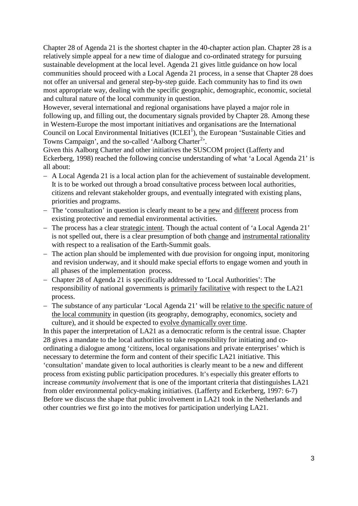Chapter 28 of Agenda 21 is the shortest chapter in the 40-chapter action plan. Chapter 28 is a relatively simple appeal for a new time of dialogue and co-ordinated strategy for pursuing sustainable development at the local level. Agenda 21 gives little guidance on how local communities should proceed with a Local Agenda 21 process, in a sense that Chapter 28 does not offer an universal and general step-by-step guide. Each community has to find its own most appropriate way, dealing with the specific geographic, demographic, economic, societal and cultural nature of the local community in question.

However, several international and regional organisations have played a major role in following up, and filling out, the documentary signals provided by Chapter 28. Among these in Western-Europe the most important initiatives and organisations are the International Council on Local Environmental Initiatives  ${(ICLEI<sup>1</sup>)}$  ${(ICLEI<sup>1</sup>)}$  ${(ICLEI<sup>1</sup>)}$ , the European 'Sustainable Cities and Towns Campaign', and the so-called 'Aalborg Charter<sup>[2](#page-18-1)</sup>'.

Given this Aalborg Charter and other initiatives the SUSCOM project (Lafferty and Eckerberg, 1998) reached the following concise understanding of what 'a Local Agenda 21' is all about:

- − A Local Agenda 21 is a local action plan for the achievement of sustainable development. It is to be worked out through a broad consultative process between local authorities, citizens and relevant stakeholder groups, and eventually integrated with existing plans, priorities and programs.
- − The 'consultation' in question is clearly meant to be a <u>new</u> and different process from existing protective and remedial environmental activities.
- − The process has a clear strategic intent. Though the actual content of 'a Local Agenda 21' is not spelled out, there is a clear presumption of both change and instrumental rationality with respect to a realisation of the Earth-Summit goals.
- − The action plan should be implemented with due provision for ongoing input, monitoring and revision underway, and it should make special efforts to engage women and youth in all phases of the implementation process.
- − Chapter 28 of Agenda 21 is specifically addressed to 'Local Authorities': The responsibility of national governments is primarily facilitative with respect to the LA21 process.
- − The substance of any particular 'Local Agenda 21' will be relative to the specific nature of the local community in question (its geography, demography, economics, society and culture), and it should be expected to evolve dynamically over time.

In this paper the interpretation of LA21 as a democratic reform is the central issue. Chapter 28 gives a mandate to the local authorities to take responsibility for initiating and coordinating a dialogue among 'citizens, local organisations and private enterprises' which is necessary to determine the form and content of their specific LA21 initiative. This 'consultation' mandate given to local authorities is clearly meant to be a new and different process from existing public participation procedures. It's especially this greater efforts to increase *community involvement* that is one of the important criteria that distinguishes LA21 from older environmental policy-making initiatives. (Lafferty and Eckerberg, 1997: 6-7) Before we discuss the shape that public involvement in LA21 took in the Netherlands and other countries we first go into the motives for participation underlying LA21.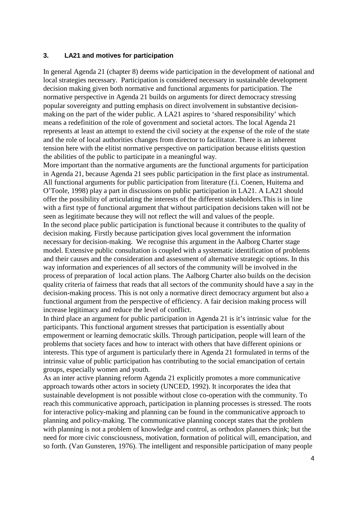#### **3. LA21 and motives for participation**

In general Agenda 21 (chapter 8) deems wide participation in the development of national and local strategies necessary. Participation is considered necessary in sustainable development decision making given both normative and functional arguments for participation. The normative perspective in Agenda 21 builds on arguments for direct democracy stressing popular sovereignty and putting emphasis on direct involvement in substantive decisionmaking on the part of the wider public. A LA21 aspires to 'shared responsibility' which means a redefinition of the role of government and societal actors. The local Agenda 21 represents at least an attempt to extend the civil society at the expense of the role of the state and the role of local authorities changes from director to facilitator. There is an inherent tension here with the elitist normative perspective on participation because elitists question the abilities of the public to participate in a meaningful way.

More important than the normative arguments are the functional arguments for participation in Agenda 21, because Agenda 21 sees public participation in the first place as instrumental. All functional arguments for public participation from literature (f.i. Coenen, Huitema and O'Toole, 1998) play a part in discussions on public participation in LA21. A LA21 should offer the possibility of articulating the interests of the different stakeholders.This is in line with a first type of functional argument that without participation decisions taken will not be seen as legitimate because they will not reflect the will and values of the people. In the second place public participation is functional because it contributes to the quality of decision making. Firstly because participation gives local government the information necessary for decision-making. We recognise this argument in the Aalborg Charter stage model. Extensive public consultation is coupled with a systematic identification of problems and their causes and the consideration and assessment of alternative strategic options. In this way information and experiences of all sectors of the community will be involved in the process of preparation of local action plans. The Aalborg Charter also builds on the decision quality criteria of fairness that reads that all sectors of the community should have a say in the decision-making process. This is not only a normative direct democracy argument but also a functional argument from the perspective of efficiency. A fair decision making process will increase legitimacy and reduce the level of conflict.

In third place an argument for public participation in Agenda 21 is it's intrinsic value for the participants. This functional argument stresses that participation is essentially about empowerment or learning democratic skills. Through participation, people will learn of the problems that society faces and how to interact with others that have different opinions or interests. This type of argument is particularly there in Agenda 21 formulated in terms of the intrinsic value of public participation has contributing to the social emancipation of certain groups, especially women and youth.

As an inter active planning reform Agenda 21 explicitly promotes a more communicative approach towards other actors in society (UNCED, 1992). It incorporates the idea that sustainable development is not possible without close co-operation with the community. To reach this communicative approach, participation in planning processes is stressed. The roots for interactive policy-making and planning can be found in the communicative approach to planning and policy-making. The communicative planning concept states that the problem with planning is not a problem of knowledge and control, as orthodox planners think; but the need for more civic consciousness, motivation, formation of political will, emancipation, and so forth. (Van Gunsteren, 1976). The intelligent and responsible participation of many people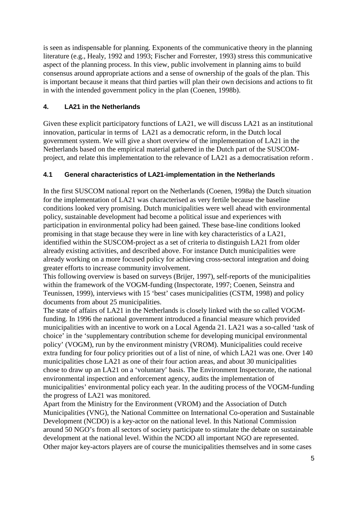is seen as indispensable for planning. Exponents of the communicative theory in the planning literature (e.g., Healy, 1992 and 1993; Fischer and Forrester, 1993) stress this communicative aspect of the planning process. In this view, public involvement in planning aims to build consensus around appropriate actions and a sense of ownership of the goals of the plan. This is important because it means that third parties will plan their own decisions and actions to fit in with the intended government policy in the plan (Coenen, 1998b).

# **4. LA21 in the Netherlands**

Given these explicit participatory functions of LA21, we will discuss LA21 as an institutional innovation, particular in terms of LA21 as a democratic reform, in the Dutch local government system. We will give a short overview of the implementation of LA21 in the Netherlands based on the empirical material gathered in the Dutch part of the SUSCOMproject, and relate this implementation to the relevance of LA21 as a democratisation reform .

# **4.1 General characteristics of LA21-implementation in the Netherlands**

In the first SUSCOM national report on the Netherlands (Coenen, 1998a) the Dutch situation for the implementation of LA21 was characterised as very fertile because the baseline conditions looked very promising. Dutch municipalities were well ahead with environmental policy, sustainable development had become a political issue and experiences with participation in environmental policy had been gained. These base-line conditions looked promising in that stage because they were in line with key characteristics of a LA21, identified within the SUSCOM-project as a set of criteria to distinguish LA21 from older already existing activities, and described above. For instance Dutch municipalities were already working on a more focused policy for achieving cross-sectoral integration and doing greater efforts to increase community involvement.

This following overview is based on surveys (Brijer, 1997), self-reports of the municipalities within the framework of the VOGM-funding (Inspectorate, 1997; Coenen, Seinstra and Teunissen, 1999), interviews with 15 'best' cases municipalities (CSTM, 1998) and policy documents from about 25 municipalities.

The state of affairs of LA21 in the Netherlands is closely linked with the so called VOGMfunding. In 1996 the national government introduced a financial measure which provided municipalities with an incentive to work on a Local Agenda 21. LA21 was a so-called 'task of choice' in the 'supplementary contribution scheme for developing municipal environmental policy' (VOGM), run by the environment ministry (VROM). Municipalities could receive extra funding for four policy priorities out of a list of nine, of which LA21 was one. Over 140 municipalities chose LA21 as one of their four action areas, and about 30 municipalities chose to draw up an LA21 on a 'voluntary' basis. The Environment Inspectorate, the national environmental inspection and enforcement agency, audits the implementation of municipalities' environmental policy each year. In the auditing process of the VOGM-funding the progress of LA21 was monitored.

Apart from the Ministry for the Environment (VROM) and the Association of Dutch Municipalities (VNG), the National Committee on International Co-operation and Sustainable Development (NCDO) is a key-actor on the national level. In this National Commission around 50 NGO's from all sectors of society participate to stimulate the debate on sustainable development at the national level. Within the NCDO all important NGO are represented. Other major key-actors players are of course the municipalities themselves and in some cases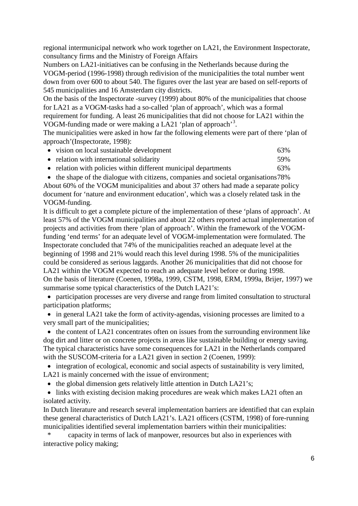regional intermunicipal network who work together on LA21, the Environment Inspectorate, consultancy firms and the Ministry of Foreign Affairs

Numbers on LA21-initiatives can be confusing in the Netherlands because during the VOGM-period (1996-1998) through redivision of the municipalities the total number went down from over 600 to about 540. The figures over the last year are based on self-reports of 545 municipalities and 16 Amsterdam city districts.

On the basis of the Inspectorate -survey (1999) about 80% of the municipalities that choose for LA21 as a VOGM-tasks had a so-called 'plan of approach', which was a formal requirement for funding. A least 26 municipalities that did not choose for LA21 within the VOGM-funding made or were making a LA21 'plan of approach'<sup>[3](#page-18-2)</sup>.

The municipalities were asked in how far the following elements were part of there 'plan of approach'(Inspectorate, 1998):

| • vision on local sustainable development                       | 63% |
|-----------------------------------------------------------------|-----|
| • relation with international solidarity                        | 59% |
| • relation with policies within different municipal departments | 63% |

• the shape of the dialogue with citizens, companies and societal organisations78% About 60% of the VOGM municipalities and about 37 others had made a separate policy document for 'nature and environment education', which was a closely related task in the VOGM-funding.

It is difficult to get a complete picture of the implementation of these 'plans of approach'. At least 57% of the VOGM municipalities and about 22 others reported actual implementation of projects and activities from there 'plan of approach'. Within the framework of the VOGMfunding 'end terms' for an adequate level of VOGM-implementation were formulated. The Inspectorate concluded that 74% of the municipalities reached an adequate level at the beginning of 1998 and 21% would reach this level during 1998. 5% of the municipalities could be considered as serious laggards. Another 26 municipalities that did not choose for LA21 within the VOGM expected to reach an adequate level before or during 1998. On the basis of literature (Coenen, 1998a, 1999, CSTM, 1998, ERM, 1999a, Brijer, 1997) we summarise some typical characteristics of the Dutch LA21's:

• participation processes are very diverse and range from limited consultation to structural participation platforms;

• in general LA21 take the form of activity-agendas, visioning processes are limited to a very small part of the municipalities;

• the content of LA21 concentrates often on issues from the surrounding environment like dog dirt and litter or on concrete projects in areas like sustainable building or energy saving. The typical characteristics have some consequences for LA21 in the Netherlands compared with the SUSCOM-criteria for a LA21 given in section 2 (Coenen, 1999):

• integration of ecological, economic and social aspects of sustainability is very limited, LA21 is mainly concerned with the issue of environment;

• the global dimension gets relatively little attention in Dutch LA21's;

• links with existing decision making procedures are weak which makes LA21 often an isolated activity.

In Dutch literature and research several implementation barriers are identified that can explain these general characteristics of Dutch LA21's. LA21 officers (CSTM, 1998) of fore-running municipalities identified several implementation barriers within their municipalities:

\* capacity in terms of lack of manpower, resources but also in experiences with interactive policy making;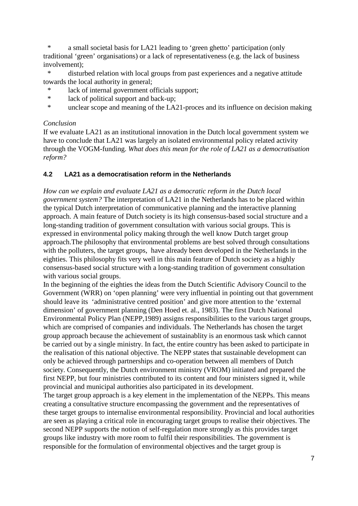\* a small societal basis for LA21 leading to 'green ghetto' participation (only traditional 'green' organisations) or a lack of representativeness (e.g. the lack of business involvement);

\* disturbed relation with local groups from past experiences and a negative attitude towards the local authority in general;

- lack of internal government officials support;
- \* lack of political support and back-up;
- \* unclear scope and meaning of the LA21-proces and its influence on decision making

#### *Conclusion*

If we evaluate LA21 as an institutional innovation in the Dutch local government system we have to conclude that LA21 was largely an isolated environmental policy related activity through the VOGM-funding. *What does this mean for the role of LA21 as a democratisation reform?*

## **4.2 LA21 as a democratisation reform in the Netherlands**

*How can we explain and evaluate LA21 as a democratic reform in the Dutch local government system?* The interpretation of LA21 in the Netherlands has to be placed within the typical Dutch interpretation of communicative planning and the interactive planning approach. A main feature of Dutch society is its high consensus-based social structure and a long-standing tradition of government consultation with various social groups. This is expressed in environmental policy making through the well know Dutch target group approach.The philosophy that environmental problems are best solved through consultations with the polluters, the target groups, have already been developed in the Netherlands in the eighties. This philosophy fits very well in this main feature of Dutch society as a highly consensus-based social structure with a long-standing tradition of government consultation with various social groups.

In the beginning of the eighties the ideas from the Dutch Scientific Advisory Council to the Government (WRR) on 'open planning' were very influential in pointing out that government should leave its 'administrative centred position' and give more attention to the 'external dimension' of government planning (Den Hoed et. al., 1983). The first Dutch National Environmental Policy Plan (NEPP,1989) assigns responsibilities to the various target groups, which are comprised of companies and individuals. The Netherlands has chosen the target group approach because the achievement of sustainablity is an enormous task which cannot be carried out by a single ministry. In fact, the entire country has been asked to participate in the realisation of this national objective. The NEPP states that sustainable development can only be achieved through partnerships and co-operation between all members of Dutch society. Consequently, the Dutch environment ministry (VROM) initiated and prepared the first NEPP, but four ministries contributed to its content and four ministers signed it, while provincial and municipal authorities also participated in its development.

The target group approach is a key element in the implementation of the NEPPs. This means creating a consultative structure encompassing the government and the representatives of these target groups to internalise environmental responsibility. Provincial and local authorities are seen as playing a critical role in encouraging target groups to realise their objectives. The second NEPP supports the notion of self-regulation more strongly as this provides target groups like industry with more room to fulfil their responsibilities. The government is responsible for the formulation of environmental objectives and the target group is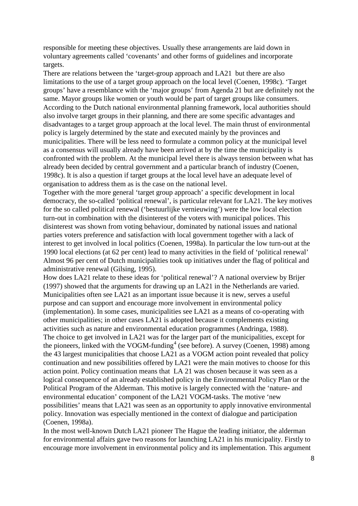responsible for meeting these objectives. Usually these arrangements are laid down in voluntary agreements called 'covenants' and other forms of guidelines and incorporate targets.

There are relations between the 'target-group approach and LA21 but there are also limitations to the use of a target group approach on the local level (Coenen, 1998c). 'Target groups' have a resemblance with the 'major groups' from Agenda 21 but are definitely not the same. Mayor groups like women or youth would be part of target groups like consumers. According to the Dutch national environmental planning framework, local authorities should also involve target groups in their planning, and there are some specific advantages and disadvantages to a target group approach at the local level. The main thrust of environmental policy is largely determined by the state and executed mainly by the provinces and municipalities. There will be less need to formulate a common policy at the municipal level as a consensus will usually already have been arrived at by the time the municipality is confronted with the problem. At the municipal level there is always tension between what has already been decided by central government and a particular branch of industry (Coenen, 1998c). It is also a question if target groups at the local level have an adequate level of organisation to address them as is the case on the national level.

Together with the more general 'target group approach' a specific development in local democracy, the so-called 'political renewal', is particular relevant for LA21. The key motives for the so called political renewal ('bestuurlijke vernieuwing') were the low local election turn-out in combination with the disinterest of the voters with municipal polices. This disinterest was shown from voting behaviour, dominated by national issues and national parties voters preference and satisfaction with local government together with a lack of interest to get involved in local politics (Coenen, 1998a). In particular the low turn-out at the 1990 local elections (at 62 per cent) lead to many activities in the field of 'political renewal' Almost 96 per cent of Dutch municipalities took up initiatives under the flag of political and administrative renewal (Gilsing, 1995).

How does LA21 relate to these ideas for 'political renewal'? A national overview by Brijer (1997) showed that the arguments for drawing up an LA21 in the Netherlands are varied. Municipalities often see LA21 as an important issue because it is new, serves a useful purpose and can support and encourage more involvement in environmental policy (implementation). In some cases, municipalities see LA21 as a means of co-operating with other municipalities; in other cases LA21 is adopted because it complements existing activities such as nature and environmental education programmes (Andringa, 1988). The choice to get involved in LA21 was for the larger part of the municipalities, except for the pioneers, linked with the VOGM-funding<sup>[4](#page-18-3)</sup> (see before). A survey (Coenen, 1998) among the 43 largest municipalities that choose LA21 as a VOGM action point revealed that policy continuation and new possibilities offered by LA21 were the main motives to choose for this action point. Policy continuation means that LA 21 was chosen because it was seen as a logical consequence of an already established policy in the Environmental Policy Plan or the Political Program of the Alderman. This motive is largely connected with the 'nature- and environmental education' component of the LA21 VOGM-tasks. The motive 'new possibilities' means that LA21 was seen as an opportunity to apply innovative environmental policy. Innovation was especially mentioned in the context of dialogue and participation (Coenen, 1998a).

In the most well-known Dutch LA21 pioneer The Hague the leading initiator, the alderman for environmental affairs gave two reasons for launching LA21 in his municipality. Firstly to encourage more involvement in environmental policy and its implementation. This argument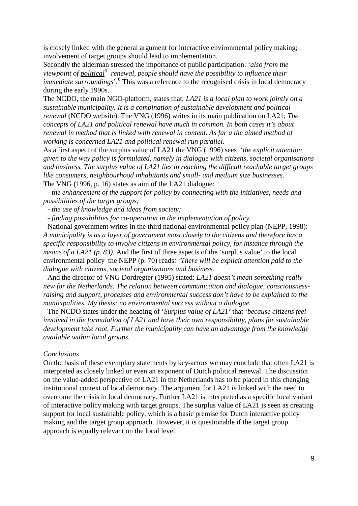is closely linked with the general argument for interactive environmental policy making; involvement of target groups should lead to implementation.

Secondly the alderman stressed the importance of public participation: '*also from the*  viewpoint of political<sup>[5](#page-18-4)</sup> renewal, people should have the possibility to influence their *immediate surroundings*<sup>'.[6](#page-18-5)</sup> This was a reference to the recognised crisis in local democracy during the early 1990s.

The NCDO, the main NGO-platform, states that; *LA21 is a local plan to work jointly on a sustainable municipality. It is a combination of sustainable development and political renewal* (NCDO website). The VNG (1996) writes in its main publication on LA21; *The concepts of LA21 and political renewal have much in common. In both cases it's about renewal in method that is linked with renewal in content. As far a the aimed method of working is concerned LA21 and political renewal run parallel.* 

As a first aspect of the surplus value of LA21 the VNG (1996) sees '*the explicit attention given to the way policy is formulated, namely in dialogue with citizens, societal organisations and business. The surplus value of LA21 lies in reaching the difficult reachable target groups like consumers, neighbourhood inhabitants and small- and medium size businesses.* The VNG (1996, p. 16) states as aim of the LA21 dialogue:

*- the enhancement of the support for policy by connecting with the initiatives, needs and possibilities of the target groups;*

*- the use of knowledge and ideas from society;*

*- finding possibilities for co-operation in the implementation of policy.* 

National government writes in the third national environmental policy plan (NEPP, 1998): *A municipality is as a layer of government most closely to the citizens and therefore has a specific responsibility to involve citizens in environmental policy, for instance through the means of a LA21 (p. 83).* And the first of three aspects of the 'surplus value' to the local environmental policy the NEPP (p. 70) reads*: 'There will be explicit attention paid to the dialogue with citizens, societal organisations and business.* 

And the director of VNG Dordregter (1995) stated: *LA21 doesn't mean something really new for the Netherlands. The relation between communication and dialogue, consciousnessraising and support, processes and environmental success don't have to be explained to the municipalities. My thesis: no environmental success without a dialogue.*

The NCDO states under the heading of '*Surplus value of LA21'* that '*because citizens feel involved in the formulation of LA21 and have their own responsibility, plans for sustainable development take root. Further the municipality can have an advantage from the knowledge available within local groups.*

#### *Conclusions*

On the basis of these exemplary statements by key-actors we may conclude that often LA21 is interpreted as closely linked or even an exponent of Dutch political renewal. The discussion on the value-added perspective of LA21 in the Netherlands has to be placed in this changing institutional context of local democracy. The argument for LA21 is linked with the need to overcome the crisis in local democracy. Further LA21 is interpreted as a specific local variant of interactive policy making with target groups. The surplus value of LA21 is seen as creating support for local sustainable policy, which is a basic premise for Dutch interactive policy making and the target group approach. However, it is questionable if the target group approach is equally relevant on the local level.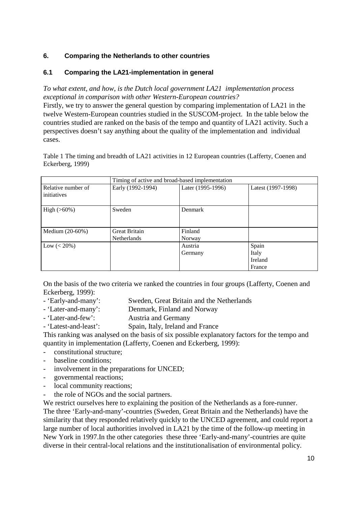## **6. Comparing the Netherlands to other countries**

## **6.1 Comparing the LA21-implementation in general**

*To what extent, and how, is the Dutch local government LA21 implementation process exceptional in comparison with other Western-European countries?* Firstly, we try to answer the general question by comparing implementation of LA21 in the twelve Western-European countries studied in the SUSCOM-project. In the table below the countries studied are ranked on the basis of the tempo and quantity of LA21 activity. Such a perspectives doesn't say anything about the quality of the implementation and individual cases.

Table 1 The timing and breadth of LA21 activities in 12 European countries (Lafferty, Coenen and Eckerberg, 1999)

|                    | Timing of active and broad-based implementation |                   |                    |
|--------------------|-------------------------------------------------|-------------------|--------------------|
| Relative number of | Early (1992-1994)                               | Later (1995-1996) | Latest (1997-1998) |
| initiatives        |                                                 |                   |                    |
| $High (>60\%)$     | Sweden                                          | Denmark           |                    |
| Medium $(20-60%)$  | <b>Great Britain</b>                            | Finland           |                    |
|                    | <b>Netherlands</b>                              | Norway            |                    |
| Low $(< 20\%)$     |                                                 | Austria           | Spain              |
|                    |                                                 | Germany           | Italy              |
|                    |                                                 |                   | Ireland            |
|                    |                                                 |                   | France             |

On the basis of the two criteria we ranked the countries in four groups (Lafferty, Coenen and Eckerberg, 1999):

- 'Early-and-many': Sweden, Great Britain and the Netherlands
- 'Later-and-many': Denmark, Finland and Norway
- 'Later-and-few': Austria and Germany
- 'Latest-and-least': Spain, Italy, Ireland and France

This ranking was analysed on the basis of six possible explanatory factors for the tempo and quantity in implementation (Lafferty, Coenen and Eckerberg, 1999):

- constitutional structure;
- baseline conditions:
- involvement in the preparations for UNCED;
- governmental reactions;
- local community reactions;
- the role of NGOs and the social partners.

We restrict ourselves here to explaining the position of the Netherlands as a fore-runner. The three 'Early-and-many'-countries (Sweden, Great Britain and the Netherlands) have the similarity that they responded relatively quickly to the UNCED agreement, and could report a large number of local authorities involved in LA21 by the time of the follow-up meeting in New York in 1997.In the other categories these three 'Early-and-many'-countries are quite diverse in their central-local relations and the institutionalisation of environmental policy.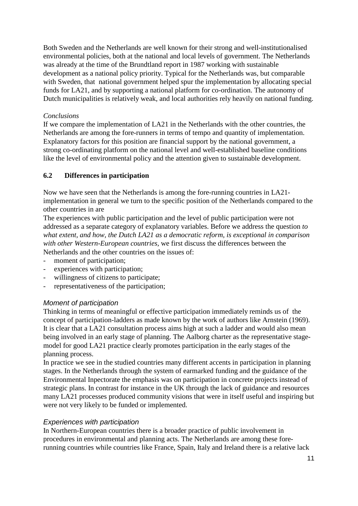Both Sweden and the Netherlands are well known for their strong and well-institutionalised environmental policies, both at the national and local levels of government. The Netherlands was already at the time of the Brundtland report in 1987 working with sustainable development as a national policy priority. Typical for the Netherlands was, but comparable with Sweden, that national government helped spur the implementation by allocating special funds for LA21, and by supporting a national platform for co-ordination. The autonomy of Dutch municipalities is relatively weak, and local authorities rely heavily on national funding.

## *Conclusions*

If we compare the implementation of LA21 in the Netherlands with the other countries, the Netherlands are among the fore-runners in terms of tempo and quantity of implementation. Explanatory factors for this position are financial support by the national government, a strong co-ordinating platform on the national level and well-established baseline conditions like the level of environmental policy and the attention given to sustainable development.

## **6.2 Differences in participation**

Now we have seen that the Netherlands is among the fore-running countries in LA21 implementation in general we turn to the specific position of the Netherlands compared to the other countries in are

The experiences with public participation and the level of public participation were not addressed as a separate category of explanatory variables. Before we address the question *to what extent, and how, the Dutch LA21 as a democratic reform, is exceptional in comparison with other Western-European countries,* we first discuss the differences between the Netherlands and the other countries on the issues of:

- moment of participation;
- experiences with participation;
- willingness of citizens to participate;
- representativeness of the participation;

## *Moment of participation*

Thinking in terms of meaningful or effective participation immediately reminds us of the concept of participation-ladders as made known by the work of authors like Arnstein (1969). It is clear that a LA21 consultation process aims high at such a ladder and would also mean being involved in an early stage of planning. The Aalborg charter as the representative stagemodel for good LA21 practice clearly promotes participation in the early stages of the planning process.

In practice we see in the studied countries many different accents in participation in planning stages. In the Netherlands through the system of earmarked funding and the guidance of the Environmental Inpectorate the emphasis was on participation in concrete projects instead of strategic plans. In contrast for instance in the UK through the lack of guidance and resources many LA21 processes produced community visions that were in itself useful and inspiring but were not very likely to be funded or implemented.

## *Experiences with participation*

In Northern-European countries there is a broader practice of public involvement in procedures in environmental and planning acts. The Netherlands are among these forerunning countries while countries like France, Spain, Italy and Ireland there is a relative lack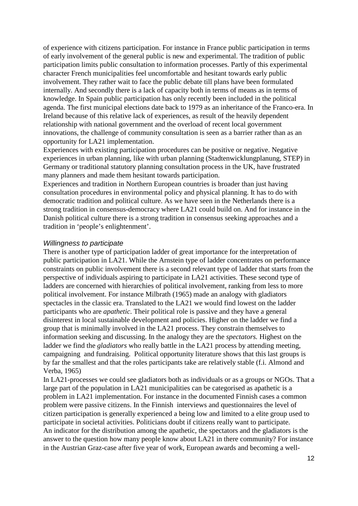of experience with citizens participation. For instance in France public participation in terms of early involvement of the general public is new and experimental. The tradition of public participation limits public consultation to information processes. Partly of this experimental character French municipalities feel uncomfortable and hesitant towards early public involvement. They rather wait to face the public debate till plans have been formulated internally. And secondly there is a lack of capacity both in terms of means as in terms of knowledge. In Spain public participation has only recently been included in the political agenda. The first municipal elections date back to 1979 as an inheritance of the Franco-era. In Ireland because of this relative lack of experiences, as result of the heavily dependent relationship with national government and the overload of recent local government innovations, the challenge of community consultation is seen as a barrier rather than as an opportunity for LA21 implementation.

Experiences with existing participation procedures can be positive or negative. Negative experiences in urban planning, like with urban planning (Stadtenwicklungplanung, STEP) in Germany or traditional statutory planning consultation process in the UK, have frustrated many planners and made them hesitant towards participation.

Experiences and tradition in Northern European countries is broader than just having consultation procedures in environmental policy and physical planning. It has to do with democratic tradition and political culture. As we have seen in the Netherlands there is a strong tradition in consensus-democracy where LA21 could build on. And for instance in the Danish political culture there is a strong tradition in consensus seeking approaches and a tradition in 'people's enlightenment'.

#### *Willingness to participate*

There is another type of participation ladder of great importance for the interpretation of public participation in LA21. While the Arnstein type of ladder concentrates on performance constraints on public involvement there is a second relevant type of ladder that starts from the perspective of individuals aspiring to participate in LA21 activities. These second type of ladders are concerned with hierarchies of political involvement, ranking from less to more political involvement. For instance Milbrath (1965) made an analogy with gladiators spectacles in the classic era. Translated to the LA21 we would find lowest on the ladder participants who are *apathetic*. Their political role is passive and they have a general disinterest in local sustainable development and policies. Higher on the ladder we find a group that is minimally involved in the LA21 process. They constrain themselves to information seeking and discussing. In the analogy they are the *spectators.* Highest on the ladder we find the *gladiators* who really battle in the LA21 process by attending meeting, campaigning and fundraising. Political opportunity literature shows that this last groups is by far the smallest and that the roles participants take are relatively stable (f.i. Almond and Verba, 1965)

In LA21-processes we could see gladiators both as individuals or as a groups or NGOs. That a large part of the population in LA21 municipalities can be categorised as apathetic is a problem in LA21 implementation. For instance in the documented Finnish cases a common problem were passive citizens. In the Finnish interviews and questionnaires the level of citizen participation is generally experienced a being low and limited to a elite group used to participate in societal activities. Politicians doubt if citizens really want to participate. An indicator for the distribution among the apathetic, the spectators and the gladiators is the answer to the question how many people know about LA21 in there community? For instance in the Austrian Graz-case after five year of work, European awards and becoming a well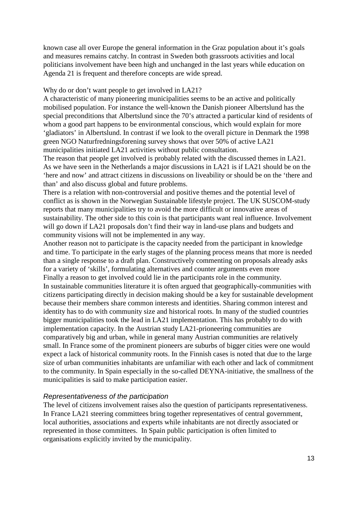known case all over Europe the general information in the Graz population about it's goals and measures remains catchy. In contrast in Sweden both grassroots activities and local politicians involvement have been high and unchanged in the last years while education on Agenda 21 is frequent and therefore concepts are wide spread.

#### Why do or don't want people to get involved in LA21?

A characteristic of many pioneering municipalities seems to be an active and politically mobilised population. For instance the well-known the Danish pioneer Albertslund has the special preconditions that Albertslund since the 70's attracted a particular kind of residents of whom a good part happens to be environmental conscious, which would explain for more 'gladiators' in Albertslund. In contrast if we look to the overall picture in Denmark the 1998 green NGO Naturfredningsforening survey shows that over 50% of active LA21 municipalities initiated LA21 activities without public consultation.

The reason that people get involved is probably related with the discussed themes in LA21. As we have seen in the Netherlands a major discussions in LA21 is if LA21 should be on the 'here and now' and attract citizens in discussions on liveability or should be on the 'there and than' and also discuss global and future problems.

There is a relation with non-controversial and positive themes and the potential level of conflict as is shown in the Norwegian Sustainable lifestyle project. The UK SUSCOM-study reports that many municipalities try to avoid the more difficult or innovative areas of sustainability. The other side to this coin is that participants want real influence. Involvement will go down if LA21 proposals don't find their way in land-use plans and budgets and community visions will not be implemented in any way.

Another reason not to participate is the capacity needed from the participant in knowledge and time. To participate in the early stages of the planning process means that more is needed than a single response to a draft plan. Constructively commenting on proposals already asks for a variety of 'skills', formulating alternatives and counter arguments even more Finally a reason to get involved could lie in the participants role in the community. In sustainable communities literature it is often argued that geographically-communities with citizens participating directly in decision making should be a key for sustainable development because their members share common interests and identities. Sharing common interest and identity has to do with community size and historical roots. In many of the studied countries bigger municipalities took the lead in LA21 implementation. This has probably to do with implementation capacity. In the Austrian study LA21-prioneering communities are comparatively big and urban, while in general many Austrian communities are relatively small. In France some of the prominent pioneers are suburbs of bigger cities were one would expect a lack of historical community roots. In the Finnish cases is noted that due to the large size of urban communities inhabitants are unfamiliar with each other and lack of commitment to the community. In Spain especially in the so-called DEYNA-initiative, the smallness of the municipalities is said to make participation easier.

## *Representativeness of the participation*

The level of citizens involvement raises also the question of participants representativeness. In France LA21 steering committees bring together representatives of central government, local authorities, associations and experts while inhabitants are not directly associated or represented in those committees. In Spain public participation is often limited to organisations explicitly invited by the municipality.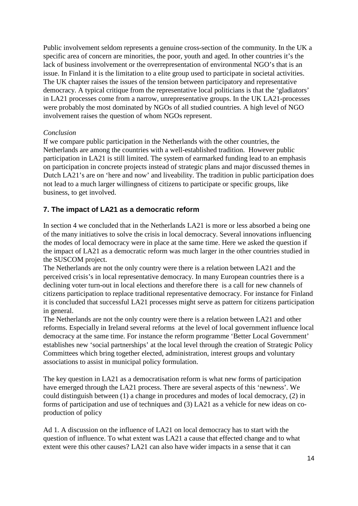Public involvement seldom represents a genuine cross-section of the community. In the UK a specific area of concern are minorities, the poor, youth and aged. In other countries it's the lack of business involvement or the overrepresentation of environmental NGO's that is an issue. In Finland it is the limitation to a elite group used to participate in societal activities. The UK chapter raises the issues of the tension between participatory and representative democracy. A typical critique from the representative local politicians is that the 'gladiators' in LA21 processes come from a narrow, unrepresentative groups. In the UK LA21-processes were probably the most dominated by NGOs of all studied countries. A high level of NGO involvement raises the question of whom NGOs represent.

## *Conclusion*

If we compare public participation in the Netherlands with the other countries, the Netherlands are among the countries with a well-established tradition. However public participation in LA21 is still limited. The system of earmarked funding lead to an emphasis on participation in concrete projects instead of strategic plans and major discussed themes in Dutch LA21's are on 'here and now' and liveability. The tradition in public participation does not lead to a much larger willingness of citizens to participate or specific groups, like business, to get involved.

# **7. The impact of LA21 as a democratic reform**

In section 4 we concluded that in the Netherlands LA21 is more or less absorbed a being one of the many initiatives to solve the crisis in local democracy. Several innovations influencing the modes of local democracy were in place at the same time. Here we asked the question if the impact of LA21 as a democratic reform was much larger in the other countries studied in the SUSCOM project.

The Netherlands are not the only country were there is a relation between LA21 and the perceived crisis's in local representative democracy. In many European countries there is a declining voter turn-out in local elections and therefore there is a call for new channels of citizens participation to replace traditional representative democracy. For instance for Finland it is concluded that successful LA21 processes might serve as pattern for citizens participation in general.

The Netherlands are not the only country were there is a relation between LA21 and other reforms. Especially in Ireland several reforms at the level of local government influence local democracy at the same time. For instance the reform programme 'Better Local Government' establishes new 'social partnerships' at the local level through the creation of Strategic Policy Committees which bring together elected, administration, interest groups and voluntary associations to assist in municipal policy formulation.

The key question in LA21 as a democratisation reform is what new forms of participation have emerged through the LA21 process. There are several aspects of this 'newness'. We could distinguish between (1) a change in procedures and modes of local democracy, (2) in forms of participation and use of techniques and (3) LA21 as a vehicle for new ideas on coproduction of policy

Ad 1. A discussion on the influence of LA21 on local democracy has to start with the question of influence. To what extent was LA21 a cause that effected change and to what extent were this other causes? LA21 can also have wider impacts in a sense that it can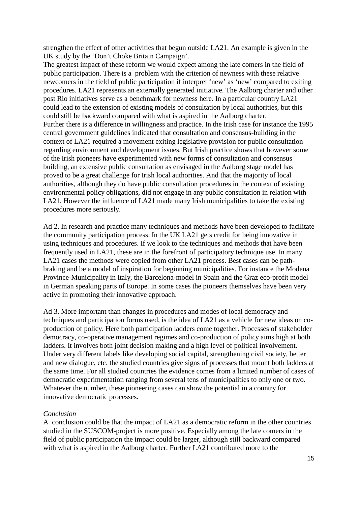strengthen the effect of other activities that begun outside LA21. An example is given in the UK study by the 'Don't Choke Britain Campaign'.

The greatest impact of these reform we would expect among the late comers in the field of public participation. There is a problem with the criterion of newness with these relative newcomers in the field of public participation if interpret 'new' as 'new' compared to exiting procedures. LA21 represents an externally generated initiative. The Aalborg charter and other post Rio initiatives serve as a benchmark for newness here. In a particular country LA21 could lead to the extension of existing models of consultation by local authorities, but this could still be backward compared with what is aspired in the Aalborg charter. Further there is a difference in willingness and practice. In the Irish case for instance the 1995 central government guidelines indicated that consultation and consensus-building in the context of LA21 required a movement exiting legislative provision for public consultation regarding environment and development issues. But Irish practice shows that however some of the Irish pioneers have experimented with new forms of consultation and consensus building, an extensive public consultation as envisaged in the Aalborg stage model has proved to be a great challenge for Irish local authorities. And that the majority of local authorities, although they do have public consultation procedures in the context of existing environmental policy obligations, did not engage in any public consultation in relation with LA21. However the influence of LA21 made many Irish municipalities to take the existing procedures more seriously.

Ad 2. In research and practice many techniques and methods have been developed to facilitate the community participation process. In the UK LA21 gets credit for being innovative in using techniques and procedures. If we look to the techniques and methods that have been frequently used in LA21, these are in the forefront of participatory technique use. In many LA21 cases the methods were copied from other LA21 process. Best cases can be pathbraking and be a model of inspiration for beginning municipalities. For instance the Modena Province-Municipality in Italy, the Barcelona-model in Spain and the Graz eco-profit model in German speaking parts of Europe. In some cases the pioneers themselves have been very active in promoting their innovative approach.

Ad 3. More important than changes in procedures and modes of local democracy and techniques and participation forms used, is the idea of LA21 as a vehicle for new ideas on coproduction of policy. Here both participation ladders come together. Processes of stakeholder democracy, co-operative management regimes and co-production of policy aims high at both ladders. It involves both joint decision making and a high level of political involvement. Under very different labels like developing social capital, strengthening civil society, better and new dialogue, etc. the studied countries give signs of processes that mount both ladders at the same time. For all studied countries the evidence comes from a limited number of cases of democratic experimentation ranging from several tens of municipalities to only one or two. Whatever the number, these pioneering cases can show the potential in a country for innovative democratic processes.

#### *Conclusion*

A conclusion could be that the impact of LA21 as a democratic reform in the other countries studied in the SUSCOM-project is more positive. Especially among the late comers in the field of public participation the impact could be larger, although still backward compared with what is aspired in the Aalborg charter. Further LA21 contributed more to the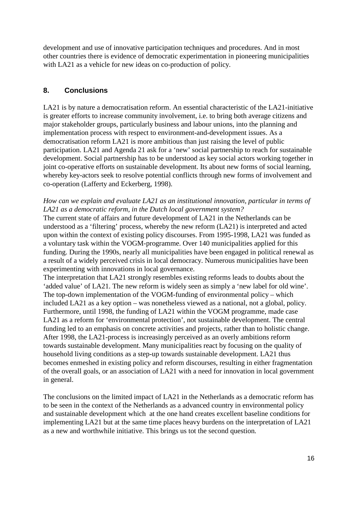development and use of innovative participation techniques and procedures. And in most other countries there is evidence of democratic experimentation in pioneering municipalities with LA21 as a vehicle for new ideas on co-production of policy.

# **8. Conclusions**

LA21 is by nature a democratisation reform. An essential characteristic of the LA21-initiative is greater efforts to increase community involvement, i.e. to bring both average citizens and major stakeholder groups, particularly business and labour unions, into the planning and implementation process with respect to environment-and-development issues. As a democratisation reform LA21 is more ambitious than just raising the level of public participation. LA21 and Agenda 21 ask for a 'new' social partnership to reach for sustainable development. Social partnership has to be understood as key social actors working together in joint co-operative efforts on sustainable development. Its about new forms of social learning, whereby key-actors seek to resolve potential conflicts through new forms of involvement and co-operation (Lafferty and Eckerberg, 1998).

## *How can we explain and evaluate LA21 as an institutional innovation, particular in terms of LA21 as a democratic reform, in the Dutch local government system?*

The current state of affairs and future development of LA21 in the Netherlands can be understood as a 'filtering' process, whereby the new reform (LA21) is interpreted and acted upon within the context of existing policy discourses. From 1995-1998, LA21 was funded as a voluntary task within the VOGM-programme. Over 140 municipalities applied for this funding. During the 1990s, nearly all municipalities have been engaged in political renewal as a result of a widely perceived crisis in local democracy. Numerous municipalities have been experimenting with innovations in local governance.

The interpretation that LA21 strongly resembles existing reforms leads to doubts about the 'added value' of LA21. The new reform is widely seen as simply a 'new label for old wine'. The top-down implementation of the VOGM-funding of environmental policy – which included LA21 as a key option – was nonetheless viewed as a national, not a global, policy. Furthermore, until 1998, the funding of LA21 within the VOGM programme, made case LA21 as a reform for 'environmental protection', not sustainable development. The central funding led to an emphasis on concrete activities and projects, rather than to holistic change. After 1998, the LA21-process is increasingly perceived as an overly ambitions reform towards sustainable development. Many municipalities react by focusing on the quality of household living conditions as a step-up towards sustainable development. LA21 thus becomes enmeshed in existing policy and reform discourses, resulting in either fragmentation of the overall goals, or an association of LA21 with a need for innovation in local government in general.

The conclusions on the limited impact of LA21 in the Netherlands as a democratic reform has to be seen in the context of the Netherlands as a advanced country in environmental policy and sustainable development which at the one hand creates excellent baseline conditions for implementing LA21 but at the same time places heavy burdens on the interpretation of LA21 as a new and worthwhile initiative. This brings us tot the second question*.*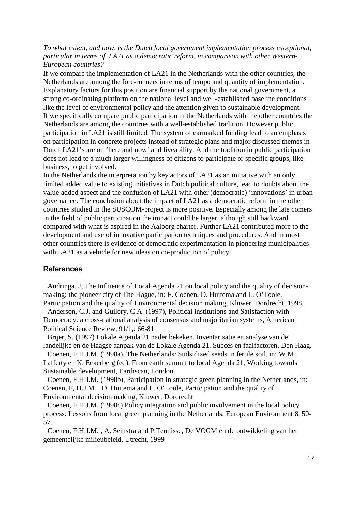## *To what extent, and how, is the Dutch local government implementation process exceptional, particular in terms of LA21 as a democratic reform, in comparison with other Western-European countries?*

If we compare the implementation of LA21 in the Netherlands with the other countries, the Netherlands are among the fore-runners in terms of tempo and quantity of implementation. Explanatory factors for this position are financial support by the national government, a strong co-ordinating platform on the national level and well-established baseline conditions like the level of environmental policy and the attention given to sustainable development. If we specifically compare public participation in the Netherlands with the other countries the Netherlands are among the countries with a well-established tradition. However public participation in LA21 is still limited. The system of earmarked funding lead to an emphasis on participation in concrete projects instead of strategic plans and major discussed themes in Dutch LA21's are on 'here and now' and liveability. And the tradition in public participation does not lead to a much larger willingness of citizens to participate or specific groups, like business, to get involved.

In the Netherlands the interpretation by key actors of LA21 as an initiative with an only limited added value to existing initiatives in Dutch political culture, lead to doubts about the value-added aspect and the confusion of LA21 with other (democratic) 'innovations' in urban governance. The conclusion about the impact of LA21 as a democratic reform in the other countries studied in the SUSCOM-project is more positive. Especially among the late comers in the field of public participation the impact could be larger, although still backward compared with what is aspired in the Aalborg charter. Further LA21 contributed more to the development and use of innovative participation techniques and procedures. And in most other countries there is evidence of democratic experimentation in pioneering municipalities with LA21 as a vehicle for new ideas on co-production of policy.

## **References**

Andringa, J, The Influence of Local Agenda 21 on local policy and the quality of decisionmaking: the pioneer city of The Hague, in: F. Coenen, D. Huitema and L. O'Toole, Participation and the quality of Environmental decision making, Kluwer, Dordrecht, 1998.

Anderson, C.J. and Guilory, C.A. (1997), Political institutions and Satisfaction with Democracy: a cross-national analysis of consensus and majoritarian systems, American Political Science Review, 91/1,: 66-81

Brijer, S. (1997) Lokale Agenda 21 nader bekeken. Inventarisatie en analyse van de landelijke en de Haagse aanpak van de Lokale Agenda 21. Succes en faalfactoren, Den Haag.

Coenen, F.H.J.M. (1998a), The Netherlands: Sudsidized seeds in fertile soil, in: W.M. Lafferty en K. Eckerberg (ed), From earth summit to local Agenda 21, Working towards Sustainable development, Earthscan, London

Coenen, F.H.J.M. (1998b), Participation in strategic green planning in the Netherlands, in: Coenen, F, H.J.M. , D. Huitema and L. O'Toole, Participation and the quality of Environmental decision making, Kluwer, Dordrecht

Coenen, F.H.J.M. (1998c) Policy integration and public involvement in the local policy process. Lessons from local green planning in the Netherlands, European Environment 8, 50- 57.

Coenen, F.H.J.M. , A. Seinstra and P.Teunisse, De VOGM en de ontwikkeling van het gemeentelijke milieubeleid, Utrecht, 1999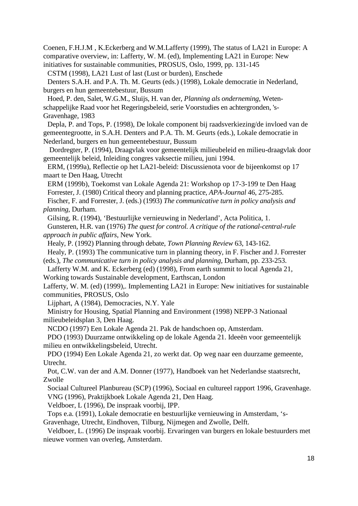Coenen, F.H.J.M , K.Eckerberg and W.M.Lafferty (1999), The status of LA21 in Europe: A comparative overview, in: Lafferty, W. M. (ed), Implementing LA21 in Europe: New initiatives for sustainable communities, PROSUS, Oslo, 1999, pp. 131-145

CSTM (1998), LA21 Lust of last (Lust or burden), Enschede

Denters S.A.H. and P.A. Th. M. Geurts (eds.) (1998), Lokale democratie in Nederland, burgers en hun gemeentebestuur, Bussum

Hoed, P. den, Salet, W.G.M., Sluijs, H. van der, *Planning als onderneming*, Wetenschappelijke Raad voor het Regeringsbeleid, serie Voorstudies en achtergronden, 's-Gravenhage, 1983

Depla, P. and Tops, P. (1998), De lokale component bij raadsverkiezing/de invloed van de gemeentegrootte, in S.A.H. Denters and P.A. Th. M. Geurts (eds.), Lokale democratie in Nederland, burgers en hun gemeentebestuur, Bussum

Dordregter, P. (1994), Draagvlak voor gemeentelijk milieubeleid en milieu-draagvlak door gemeentelijk beleid, Inleiding congres vaksectie milieu, juni 1994.

ERM, (1999a), Reflectie op het LA21-beleid: Discussienota voor de bijeenkomst op 17 maart te Den Haag, Utrecht

ERM (1999b), Toekomst van Lokale Agenda 21: Workshop op 17-3-199 te Den Haag Forrester, J. (1980) Critical theory and planning practice, *APA-Journal* 46, 275-285.

Fischer, F. and Forrester, J. (eds.) (1993) *The communicative turn in policy analysis and planning*, Durham.

Gilsing, R. (1994), 'Bestuurlijke vernieuwing in Nederland', Acta Politica, 1.

Gunsteren, H.R. van (1976) *The quest for control. A critique of the rational-central-rule approach in public affairs*, New York.

Healy, P. (1992) Planning through debate, *Town Planning Review* 63, 143-162.

Healy, P. (1993) The communicative turn in planning theory, in F. Fischer and J. Forrester (eds.), *The communicative turn in policy analysis and planning*, Durham, pp. 233-253.

Lafferty W.M. and K. Eckerberg (ed) (1998), From earth summit to local Agenda 21, Working towards Sustainable development, Earthscan, London

Lafferty, W. M. (ed) (1999),. Implementing LA21 in Europe: New initiatives for sustainable communities, PROSUS, Oslo

Lijphart, A (1984), Democracies, N.Y. Yale

Ministry for Housing, Spatial Planning and Environment (1998) NEPP-3 Nationaal milieubeleidsplan 3, Den Haag.

NCDO (1997) Een Lokale Agenda 21. Pak de handschoen op, Amsterdam.

PDO (1993) Duurzame ontwikkeling op de lokale Agenda 21. Ideeën voor gemeentelijk milieu en ontwikkelingsbeleid, Utrecht.

PDO (1994) Een Lokale Agenda 21, zo werkt dat. Op weg naar een duurzame gemeente, Utrecht.

Pot, C.W. van der and A.M. Donner (1977), Handboek van het Nederlandse staatsrecht, Zwolle

Sociaal Cultureel Planbureau (SCP) (1996), Sociaal en cultureel rapport 1996, Gravenhage. VNG (1996), Praktijkboek Lokale Agenda 21, Den Haag.

Veldboer, L (1996), De inspraak voorbij, IPP.

Tops e.a. (1991), Lokale democratie en bestuurlijke vernieuwing in Amsterdam, 's-

Gravenhage, Utrecht, Eindhoven, Tilburg, Nijmegen and Zwolle, Delft.

Veldboer, L. (1996) De inspraak voorbij. Ervaringen van burgers en lokale bestuurders met nieuwe vormen van overleg, Amsterdam.